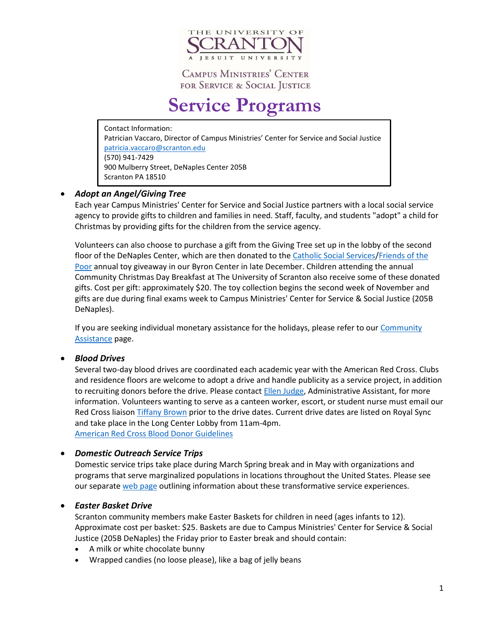

# **Service Programs**

Contact Information: Patrician Vaccaro, Director of Campus Ministries' Center for Service and Social Justice [patricia.vaccaro@scranton.edu](mailto:patricia.vaccaro@scranton.edu) (570) 941-7429 900 Mulberry Street, DeNaples Center 205B Scranton PA 18510

# *Adopt an Angel/Giving Tree*

Each year Campus Ministries' Center for Service and Social Justice partners with a local social service agency to provide gifts to children and families in need. Staff, faculty, and students "adopt" a child for Christmas by providing gifts for the children from the service agency.

Volunteers can also choose to purchase a gift from the Giving Tree set up in the lobby of the second floor of the DeNaples Center, which are then donated to the [Catholic Social Services](https://cssdioceseofscranton.org/content/)/Friends of the [Poor](http://friendsofthepoorscranton.org/home/index.html) annual toy giveaway in our Byron Center in late December. Children attending the annual Community Christmas Day Breakfast at The University of Scranton also receive some of these donated gifts. Cost per gift: approximately \$20. The toy collection begins the second week of November and gifts are due during final exams week to Campus Ministries' Center for Service & Social Justice (205B DeNaples).

If you are seeking individual monetary assistance for the holidays, please refer to our Community [Assistance](http://www.scranton.edu/ministries/center-service-social-justice/community-assistance.shtml) page.

# *Blood Drives*

Several two-day blood drives are coordinated each academic year with the American Red Cross. Clubs and residence floors are welcome to adopt a drive and handle publicity as a service project, in addition to recruiting donors before the drive. Please contact [Ellen Judge,](mailto:ellen.judge@scranton.edu?subject=Blood%20drive%20inquiry) Administrative Assistant, for more information. Volunteers wanting to serve as a canteen worker, escort, or student nurse must email our Red Cross liaison [Tiffany Brown](mailto:tiffany.brown@redcross.org?subject=University%20of%20Scranton%20volunteer%20inquiry) prior to the drive dates. Current drive dates are listed on Royal Sync and take place in the Long Center Lobby from 11am-4pm. [American Red Cross Blood Donor](https://www.redcrossblood.org/donate-blood/how-to-donate/eligibility-requirements.html) Guidelines

*Domestic Outreach Service Trips*

Domestic service trips take place during March Spring break and in May with organizations and programs that serve marginalized populations in locations throughout the United States. Please see our separate [web page](http://www.scranton.edu/ministries/center-service-social-justice/spring-break-trips.shtml) outlining information about these transformative service experiences.

# *Easter Basket Drive*

Scranton community members make Easter Baskets for children in need (ages infants to 12). Approximate cost per basket: \$25. Baskets are due to Campus Ministries' Center for Service & Social Justice (205B DeNaples) the Friday prior to Easter break and should contain:

- A milk or white chocolate bunny
- Wrapped candies (no loose please), like a bag of jelly beans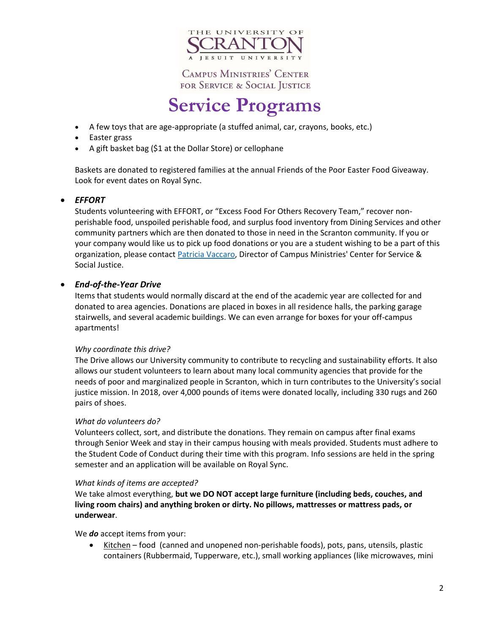

# **Service Programs**

- A few toys that are age-appropriate (a stuffed animal, car, crayons, books, etc.)
- Easter grass
- A gift basket bag (\$1 at the Dollar Store) or cellophane

Baskets are donated to registered families at the annual Friends of the Poor Easter Food Giveaway. Look for event dates on Royal Sync.

### *EFFORT*

Students volunteering with EFFORT, or "Excess Food For Others Recovery Team," recover nonperishable food, unspoiled perishable food, and surplus food inventory from Dining Services and other community partners which are then donated to those in need in the Scranton community. If you or your company would like us to pick up food donations or you are a student wishing to be a part of this organization, please contact [Patricia Vaccaro,](mailto:patricia.vaccro@scranton.edu?subject=EFFORT%20-%20inquiry) Director of Campus Ministries' Center for Service & Social Justice.

### *End-of-the-Year Drive*

Items that students would normally discard at the end of the academic year are collected for and donated to area agencies. Donations are placed in boxes in all residence halls, the parking garage stairwells, and several academic buildings. We can even arrange for boxes for your off-campus apartments!

#### *Why coordinate this drive?*

The Drive allows our University community to contribute to recycling and sustainability efforts. It also allows our student volunteers to learn about many local community agencies that provide for the needs of poor and marginalized people in Scranton, which in turn contributes to the University's social justice mission. In 2018, over 4,000 pounds of items were donated locally, including 330 rugs and 260 pairs of shoes.

#### *What do volunteers do?*

Volunteers collect, sort, and distribute the donations. They remain on campus after final exams through Senior Week and stay in their campus housing with meals provided. Students must adhere to the Student Code of Conduct during their time with this program. Info sessions are held in the spring semester and an application will be available on Royal Sync.

#### *What kinds of items are accepted?*

We take almost everything, **but we DO NOT accept large furniture (including beds, couches, and living room chairs) and anything broken or dirty. No pillows, mattresses or mattress pads, or underwear**.

We *do* accept items from your:

• Kitchen – food (canned and unopened non-perishable foods), pots, pans, utensils, plastic containers (Rubbermaid, Tupperware, etc.), small working appliances (like microwaves, mini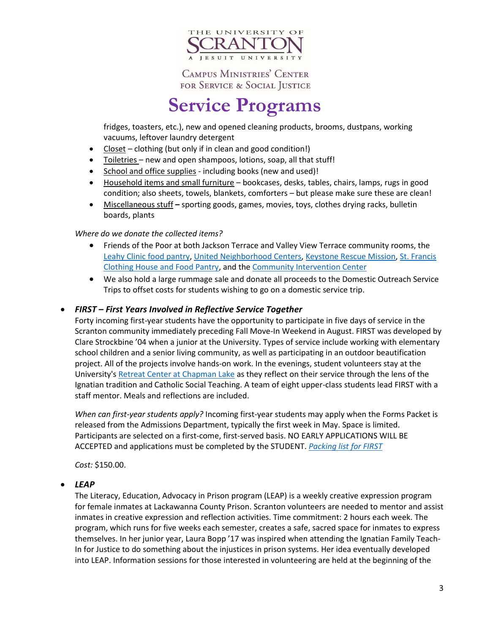

# **Service Programs**

fridges, toasters, etc.), new and opened cleaning products, brooms, dustpans, working vacuums, leftover laundry detergent

- $\bullet$  Closet clothing (but only if in clean and good condition!)
- Toiletries new and open shampoos, lotions, soap, all that stuff!
- School and office supplies including books (new and used)!
- Household items and small furniture bookcases, desks, tables, chairs, lamps, rugs in good condition; also sheets, towels, blankets, comforters – but please make sure these are clean!
- Miscellaneous stuff **–** sporting goods, games, movies, toys, clothes drying racks, bulletin boards, plants

### *Where do we donate the collected items?*

- Friends of the Poor at both Jackson Terrace and Valley View Terrace community rooms, the [Leahy Clinic food pantry,](http://www.scranton.edu/academics/pcps/leahy/food%20pantry/pantry.shtml) [United Neighborhood Centers,](http://www.uncnepa.org/) [Keystone Rescue Mission,](https://www.keystonemission.org/) [St. Francis](https://stfranciskitchen.org/st-francis-free-clothing-store/)  [Clothing House and Food Pantry,](https://stfranciskitchen.org/st-francis-free-clothing-store/) and the [Community Intervention Center](http://www.communityinterventioncenter.net/)
- We also hold a large rummage sale and donate all proceeds to the Domestic Outreach Service Trips to offset costs for students wishing to go on a domestic service trip.

# *FIRST – First Years Involved in Reflective Service Together*

Forty incoming first-year students have the opportunity to participate in five days of service in the Scranton community immediately preceding Fall Move-In Weekend in August. FIRST was developed by Clare Strockbine '04 when a junior at the University. Types of service include working with elementary school children and a senior living community, as well as participating in an outdoor beautification project. All of the projects involve hands-on work. In the evenings, student volunteers stay at the University's [Retreat Center at Chapman Lake](http://www.scranton.edu/ministries/campus-ministry/retreats/retreats-new.shtml) as they reflect on their service through the lens of the Ignatian tradition and Catholic Social Teaching. A team of eight upper-class students lead FIRST with a staff mentor. Meals and reflections are included.

*When can first-year students apply?* Incoming first-year students may apply when the Forms Packet is released from the Admissions Department, typically the first week in May. Space is limited. Participants are selected on a first-come, first-served basis. NO EARLY APPLICATIONS WILL BE ACCEPTED and applications must be completed by the STUDENT. *[Packing list for FIRST](http://www.scranton.edu/ministries/center-service-social-justice/first%20packing%20list.pdf)*

*Cost:* \$150.00.

### *LEAP*

The Literacy, Education, Advocacy in Prison program (LEAP) is a weekly creative expression program for female inmates at Lackawanna County Prison. Scranton volunteers are needed to mentor and assist inmates in creative expression and reflection activities. Time commitment: 2 hours each week. The program, which runs for five weeks each semester, creates a safe, sacred space for inmates to express themselves. In her junior year, Laura Bopp '17 was inspired when attending the Ignatian Family Teach-In for Justice to do something about the injustices in prison systems. Her idea eventually developed into LEAP. Information sessions for those interested in volunteering are held at the beginning of the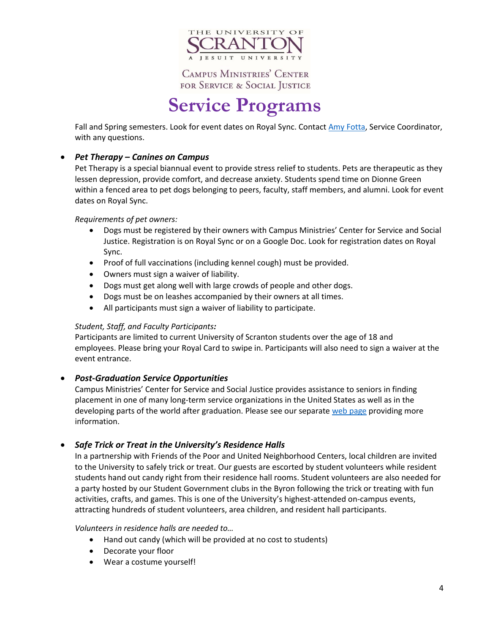

# **Service Programs**

Fall and Spring semesters. Look for event dates on Royal Sync. Contact [Amy Fotta,](mailto:amy.fotta@scranton.edu?subject=LEAP%20inquiry) Service Coordinator, with any questions.

# *Pet Therapy – Canines on Campus*

Pet Therapy is a special biannual event to provide stress relief to students. Pets are therapeutic as they lessen depression, provide comfort, and decrease anxiety. Students spend time on Dionne Green within a fenced area to pet dogs belonging to peers, faculty, staff members, and alumni. Look for event dates on Royal Sync.

### *Requirements of pet owners:*

- Dogs must be registered by their owners with Campus Ministries' Center for Service and Social Justice. Registration is on Royal Sync or on a Google Doc. Look for registration dates on Royal Sync.
- Proof of full vaccinations (including kennel cough) must be provided.
- Owners must sign a waiver of liability.
- Dogs must get along well with large crowds of people and other dogs.
- Dogs must be on leashes accompanied by their owners at all times.
- All participants must sign a waiver of liability to participate.

### *Student, Staff, and Faculty Participants:*

Participants are limited to current University of Scranton students over the age of 18 and employees. Please bring your Royal Card to swipe in. Participants will also need to sign a waiver at the event entrance.

# *Post-Graduation Service Opportunities*

Campus Ministries' Center for Service and Social Justice provides assistance to seniors in finding placement in one of many long-term service organizations in the United States as well as in the developing parts of the world after graduation. Please see our separate [web page](https://www.scranton.edu/ministries/Post-Graduation%20Service.shtml) providing more information.

# *Safe Trick or Treat in the University's Residence Halls*

In a partnership with Friends of the Poor and United Neighborhood Centers, local children are invited to the University to safely trick or treat. Our guests are escorted by student volunteers while resident students hand out candy right from their residence hall rooms. Student volunteers are also needed for a party hosted by our Student Government clubs in the Byron following the trick or treating with fun activities, crafts, and games. This is one of the University's highest-attended on-campus events, attracting hundreds of student volunteers, area children, and resident hall participants.

### *Volunteers in residence halls are needed to…*

- Hand out candy (which will be provided at no cost to students)
- Decorate your floor
- Wear a costume yourself!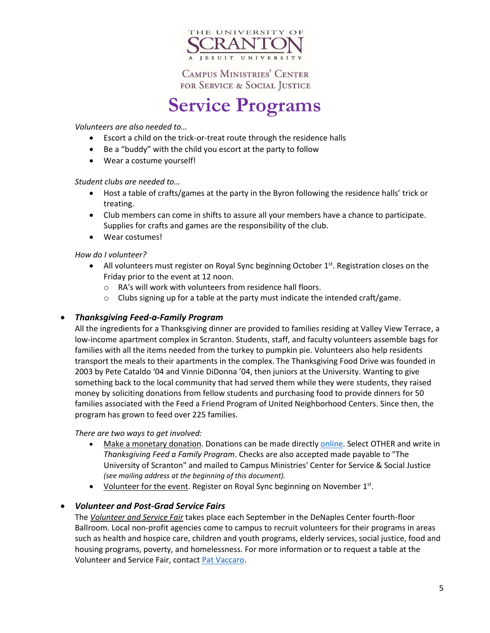

# **Service Programs**

### *Volunteers are also needed to…*

- Escort a child on the trick-or-treat route through the residence halls
- Be a "buddy" with the child you escort at the party to follow
- Wear a costume yourself!

### *Student clubs are needed to…*

- Host a table of crafts/games at the party in the Byron following the residence halls' trick or treating.
- Club members can come in shifts to assure all your members have a chance to participate. Supplies for crafts and games are the responsibility of the club.
- Wear costumes!

### *How do I volunteer?*

- All volunteers must register on Royal Sync beginning October  $1^{st}$ . Registration closes on the Friday prior to the event at 12 noon.
	- o RA's will work with volunteers from residence hall floors.
	- o Clubs signing up for a table at the party must indicate the intended craft/game.

### *Thanksgiving Feed-a-Family Program*

All the ingredients for a Thanksgiving dinner are provided to families residing at Valley View Terrace, a low-income apartment complex in Scranton. Students, staff, and faculty volunteers assemble bags for families with all the items needed from the turkey to pumpkin pie. Volunteers also help residents transport the meals to their apartments in the complex. The Thanksgiving Food Drive was founded in 2003 by Pete Cataldo '04 and Vinnie DiDonna '04, then juniors at the University. Wanting to give something back to the local community that had served them while they were students, they raised money by soliciting donations from fellow students and purchasing food to provide dinners for 50 families associated with the Feed a Friend Program of United Neighborhood Centers. Since then, the program has grown to feed over 225 families.

### *There are two ways to get involved:*

- Make a monetary donation. Donations can be made directl[y online.](https://www.scranton.edu/advancement/form/index.shtml) Select OTHER and write in *Thanksgiving Feed a Family Program*. Checks are also accepted made payable to "The University of Scranton" and mailed to Campus Ministries' Center for Service & Social Justice *(see mailing address at the beginning of this document).*
- Volunteer for the event. Register on Royal Sync beginning on November 1<sup>st</sup>.

# *Volunteer and Post-Grad Service Fairs*

The *Volunteer and Service Fair* takes place each September in the DeNaples Center fourth-floor Ballroom. Local non-profit agencies come to campus to recruit volunteers for their programs in areas such as health and hospice care, children and youth programs, elderly services, social justice, food and housing programs, poverty, and homelessness. For more information or to request a table at the Volunteer and Service Fair, contact [Pat Vaccaro.](mailto:patricia.vaccro@scranton.edu?subject=Volunteer%20Fair%20inquiry)